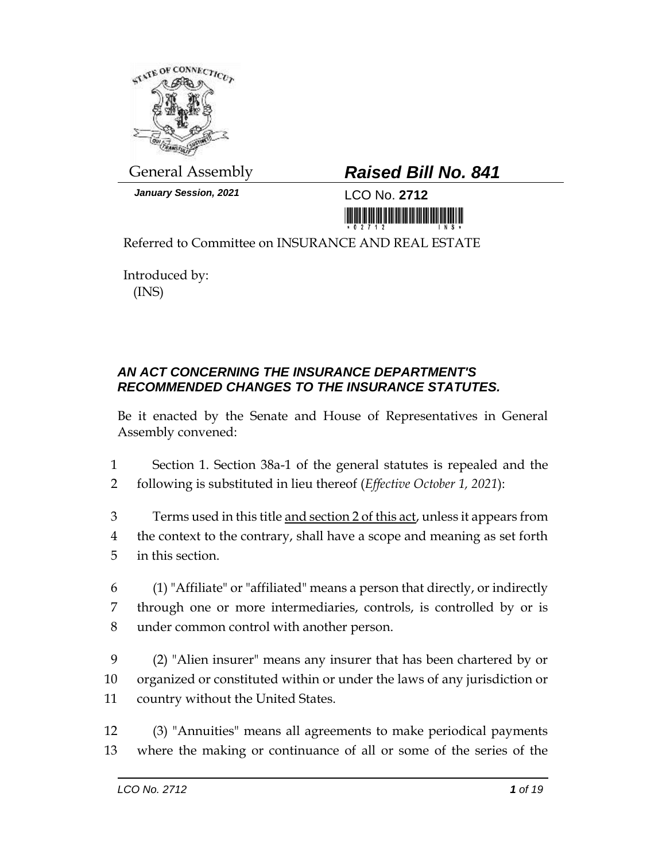

*January Session, 2021* LCO No. **2712**

## General Assembly *Raised Bill No. 841*

<u> III juga paman masara masara</u>

Referred to Committee on INSURANCE AND REAL ESTATE

Introduced by: (INS)

## *AN ACT CONCERNING THE INSURANCE DEPARTMENT'S RECOMMENDED CHANGES TO THE INSURANCE STATUTES.*

Be it enacted by the Senate and House of Representatives in General Assembly convened:

1 Section 1. Section 38a-1 of the general statutes is repealed and the 2 following is substituted in lieu thereof (*Effective October 1, 2021*):

- 3 Terms used in this title and section 2 of this act, unless it appears from 4 the context to the contrary, shall have a scope and meaning as set forth 5 in this section.
- 6 (1) "Affiliate" or "affiliated" means a person that directly, or indirectly 7 through one or more intermediaries, controls, is controlled by or is 8 under common control with another person.
- 9 (2) "Alien insurer" means any insurer that has been chartered by or 10 organized or constituted within or under the laws of any jurisdiction or 11 country without the United States.
- 12 (3) "Annuities" means all agreements to make periodical payments 13 where the making or continuance of all or some of the series of the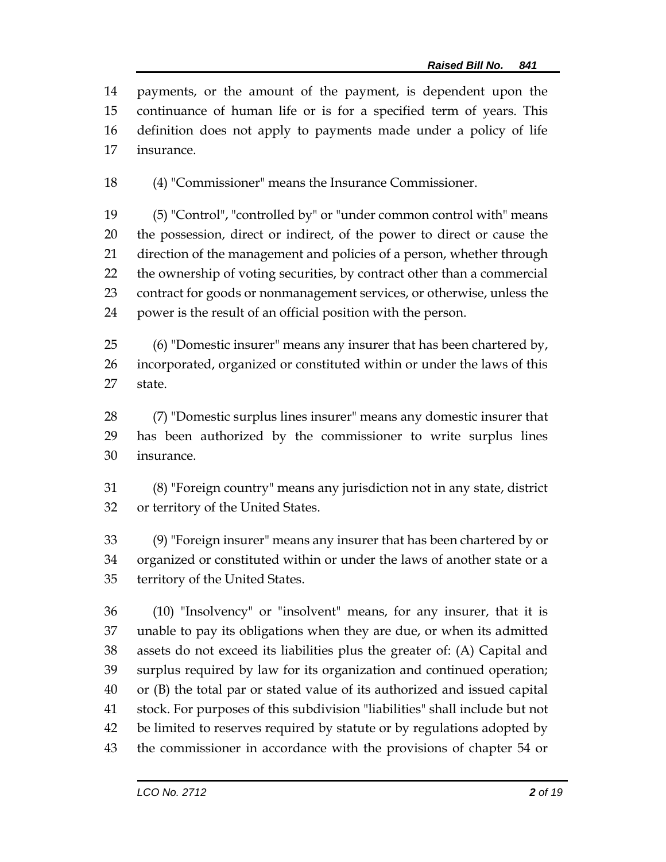payments, or the amount of the payment, is dependent upon the continuance of human life or is for a specified term of years. This definition does not apply to payments made under a policy of life insurance.

(4) "Commissioner" means the Insurance Commissioner.

 (5) "Control", "controlled by" or "under common control with" means the possession, direct or indirect, of the power to direct or cause the direction of the management and policies of a person, whether through the ownership of voting securities, by contract other than a commercial contract for goods or nonmanagement services, or otherwise, unless the power is the result of an official position with the person.

 (6) "Domestic insurer" means any insurer that has been chartered by, incorporated, organized or constituted within or under the laws of this state.

 (7) "Domestic surplus lines insurer" means any domestic insurer that has been authorized by the commissioner to write surplus lines insurance.

 (8) "Foreign country" means any jurisdiction not in any state, district or territory of the United States.

 (9) "Foreign insurer" means any insurer that has been chartered by or organized or constituted within or under the laws of another state or a territory of the United States.

 (10) "Insolvency" or "insolvent" means, for any insurer, that it is unable to pay its obligations when they are due, or when its admitted assets do not exceed its liabilities plus the greater of: (A) Capital and surplus required by law for its organization and continued operation; or (B) the total par or stated value of its authorized and issued capital stock. For purposes of this subdivision "liabilities" shall include but not be limited to reserves required by statute or by regulations adopted by the commissioner in accordance with the provisions of chapter 54 or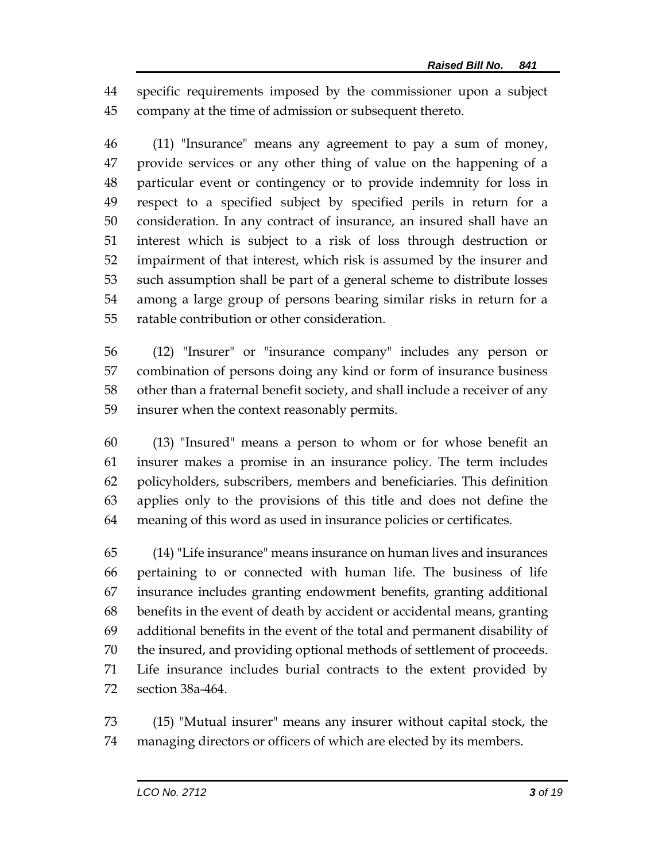specific requirements imposed by the commissioner upon a subject company at the time of admission or subsequent thereto.

 (11) "Insurance" means any agreement to pay a sum of money, provide services or any other thing of value on the happening of a particular event or contingency or to provide indemnity for loss in respect to a specified subject by specified perils in return for a consideration. In any contract of insurance, an insured shall have an interest which is subject to a risk of loss through destruction or impairment of that interest, which risk is assumed by the insurer and such assumption shall be part of a general scheme to distribute losses among a large group of persons bearing similar risks in return for a ratable contribution or other consideration.

 (12) "Insurer" or "insurance company" includes any person or combination of persons doing any kind or form of insurance business other than a fraternal benefit society, and shall include a receiver of any insurer when the context reasonably permits.

 (13) "Insured" means a person to whom or for whose benefit an insurer makes a promise in an insurance policy. The term includes policyholders, subscribers, members and beneficiaries. This definition applies only to the provisions of this title and does not define the meaning of this word as used in insurance policies or certificates.

 (14) "Life insurance" means insurance on human lives and insurances pertaining to or connected with human life. The business of life insurance includes granting endowment benefits, granting additional benefits in the event of death by accident or accidental means, granting additional benefits in the event of the total and permanent disability of the insured, and providing optional methods of settlement of proceeds. Life insurance includes burial contracts to the extent provided by section 38a-464.

 (15) "Mutual insurer" means any insurer without capital stock, the managing directors or officers of which are elected by its members.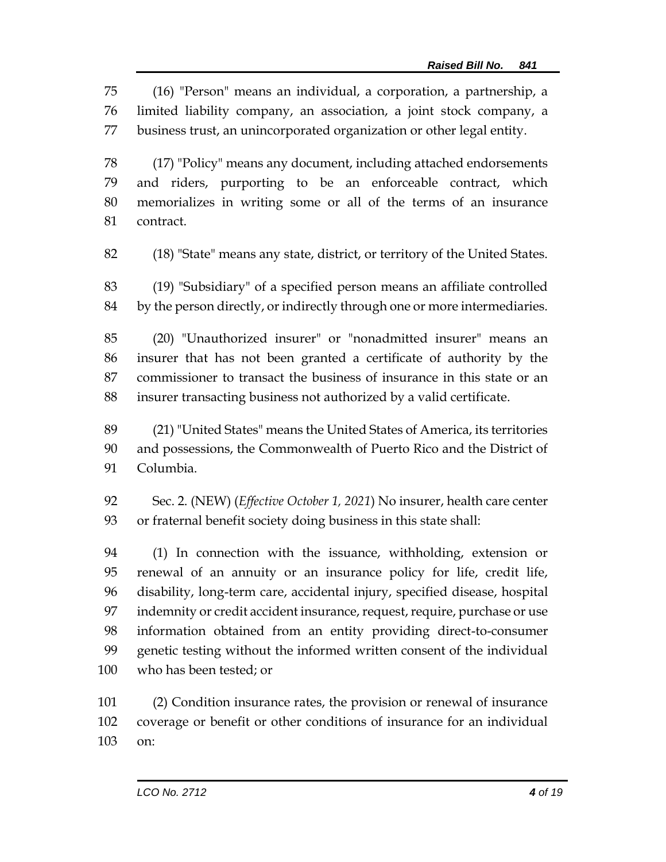(16) "Person" means an individual, a corporation, a partnership, a limited liability company, an association, a joint stock company, a business trust, an unincorporated organization or other legal entity.

 (17) "Policy" means any document, including attached endorsements and riders, purporting to be an enforceable contract, which memorializes in writing some or all of the terms of an insurance contract.

(18) "State" means any state, district, or territory of the United States.

 (19) "Subsidiary" of a specified person means an affiliate controlled by the person directly, or indirectly through one or more intermediaries.

 (20) "Unauthorized insurer" or "nonadmitted insurer" means an insurer that has not been granted a certificate of authority by the commissioner to transact the business of insurance in this state or an insurer transacting business not authorized by a valid certificate.

 (21) "United States" means the United States of America, its territories and possessions, the Commonwealth of Puerto Rico and the District of Columbia.

 Sec. 2. (NEW) (*Effective October 1, 2021*) No insurer, health care center or fraternal benefit society doing business in this state shall:

 (1) In connection with the issuance, withholding, extension or renewal of an annuity or an insurance policy for life, credit life, disability, long-term care, accidental injury, specified disease, hospital indemnity or credit accident insurance, request, require, purchase or use information obtained from an entity providing direct-to-consumer genetic testing without the informed written consent of the individual who has been tested; or

 (2) Condition insurance rates, the provision or renewal of insurance coverage or benefit or other conditions of insurance for an individual on: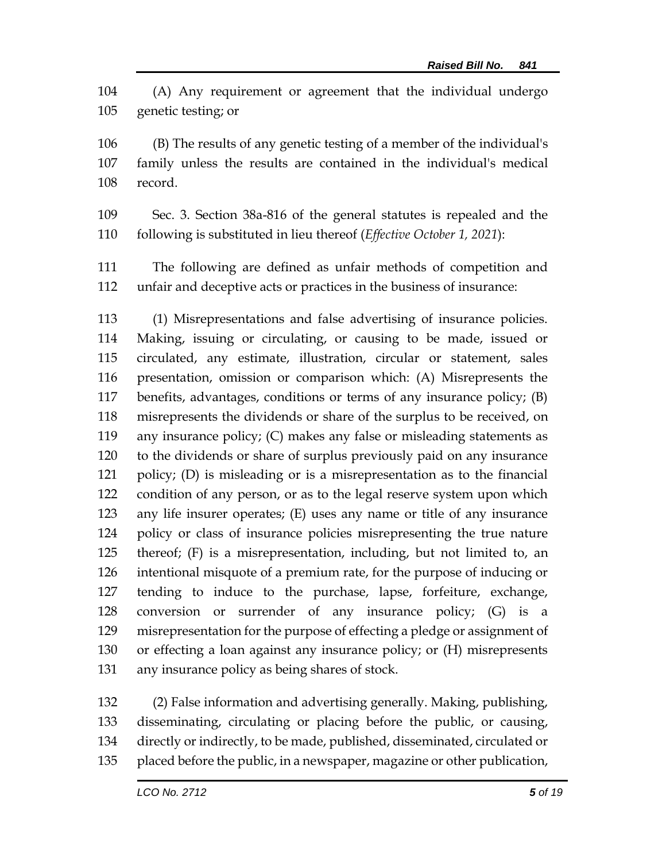(A) Any requirement or agreement that the individual undergo genetic testing; or

 (B) The results of any genetic testing of a member of the individual's family unless the results are contained in the individual's medical record.

 Sec. 3. Section 38a-816 of the general statutes is repealed and the following is substituted in lieu thereof (*Effective October 1, 2021*):

 The following are defined as unfair methods of competition and unfair and deceptive acts or practices in the business of insurance:

 (1) Misrepresentations and false advertising of insurance policies. Making, issuing or circulating, or causing to be made, issued or circulated, any estimate, illustration, circular or statement, sales presentation, omission or comparison which: (A) Misrepresents the benefits, advantages, conditions or terms of any insurance policy; (B) misrepresents the dividends or share of the surplus to be received, on any insurance policy; (C) makes any false or misleading statements as to the dividends or share of surplus previously paid on any insurance policy; (D) is misleading or is a misrepresentation as to the financial condition of any person, or as to the legal reserve system upon which any life insurer operates; (E) uses any name or title of any insurance policy or class of insurance policies misrepresenting the true nature thereof; (F) is a misrepresentation, including, but not limited to, an intentional misquote of a premium rate, for the purpose of inducing or tending to induce to the purchase, lapse, forfeiture, exchange, conversion or surrender of any insurance policy; (G) is a misrepresentation for the purpose of effecting a pledge or assignment of or effecting a loan against any insurance policy; or (H) misrepresents any insurance policy as being shares of stock.

 (2) False information and advertising generally. Making, publishing, disseminating, circulating or placing before the public, or causing, directly or indirectly, to be made, published, disseminated, circulated or placed before the public, in a newspaper, magazine or other publication,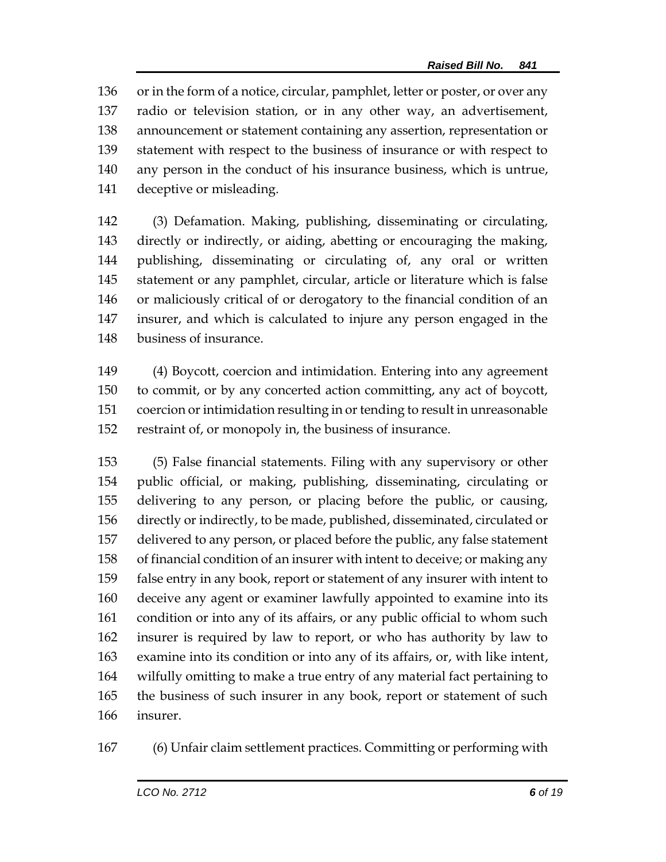or in the form of a notice, circular, pamphlet, letter or poster, or over any radio or television station, or in any other way, an advertisement, announcement or statement containing any assertion, representation or statement with respect to the business of insurance or with respect to any person in the conduct of his insurance business, which is untrue, deceptive or misleading.

 (3) Defamation. Making, publishing, disseminating or circulating, directly or indirectly, or aiding, abetting or encouraging the making, publishing, disseminating or circulating of, any oral or written statement or any pamphlet, circular, article or literature which is false or maliciously critical of or derogatory to the financial condition of an insurer, and which is calculated to injure any person engaged in the business of insurance.

 (4) Boycott, coercion and intimidation. Entering into any agreement to commit, or by any concerted action committing, any act of boycott, coercion or intimidation resulting in or tending to result in unreasonable restraint of, or monopoly in, the business of insurance.

 (5) False financial statements. Filing with any supervisory or other public official, or making, publishing, disseminating, circulating or delivering to any person, or placing before the public, or causing, directly or indirectly, to be made, published, disseminated, circulated or delivered to any person, or placed before the public, any false statement of financial condition of an insurer with intent to deceive; or making any false entry in any book, report or statement of any insurer with intent to deceive any agent or examiner lawfully appointed to examine into its condition or into any of its affairs, or any public official to whom such insurer is required by law to report, or who has authority by law to examine into its condition or into any of its affairs, or, with like intent, wilfully omitting to make a true entry of any material fact pertaining to the business of such insurer in any book, report or statement of such insurer.

(6) Unfair claim settlement practices. Committing or performing with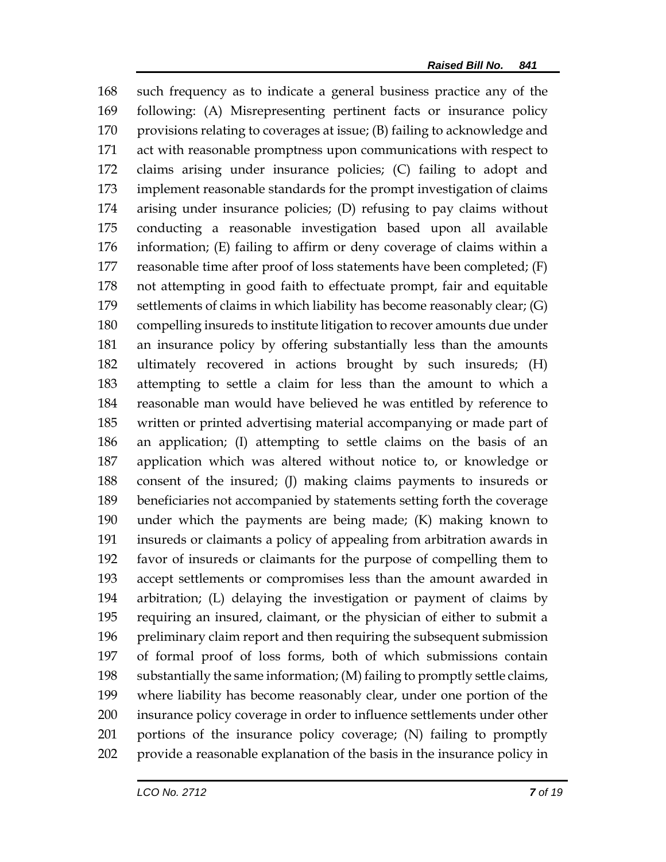such frequency as to indicate a general business practice any of the following: (A) Misrepresenting pertinent facts or insurance policy provisions relating to coverages at issue; (B) failing to acknowledge and act with reasonable promptness upon communications with respect to claims arising under insurance policies; (C) failing to adopt and implement reasonable standards for the prompt investigation of claims arising under insurance policies; (D) refusing to pay claims without conducting a reasonable investigation based upon all available information; (E) failing to affirm or deny coverage of claims within a reasonable time after proof of loss statements have been completed; (F) not attempting in good faith to effectuate prompt, fair and equitable settlements of claims in which liability has become reasonably clear; (G) compelling insureds to institute litigation to recover amounts due under an insurance policy by offering substantially less than the amounts ultimately recovered in actions brought by such insureds; (H) attempting to settle a claim for less than the amount to which a reasonable man would have believed he was entitled by reference to written or printed advertising material accompanying or made part of an application; (I) attempting to settle claims on the basis of an application which was altered without notice to, or knowledge or consent of the insured; (J) making claims payments to insureds or beneficiaries not accompanied by statements setting forth the coverage under which the payments are being made; (K) making known to insureds or claimants a policy of appealing from arbitration awards in favor of insureds or claimants for the purpose of compelling them to accept settlements or compromises less than the amount awarded in arbitration; (L) delaying the investigation or payment of claims by requiring an insured, claimant, or the physician of either to submit a preliminary claim report and then requiring the subsequent submission of formal proof of loss forms, both of which submissions contain substantially the same information; (M) failing to promptly settle claims, where liability has become reasonably clear, under one portion of the insurance policy coverage in order to influence settlements under other portions of the insurance policy coverage; (N) failing to promptly provide a reasonable explanation of the basis in the insurance policy in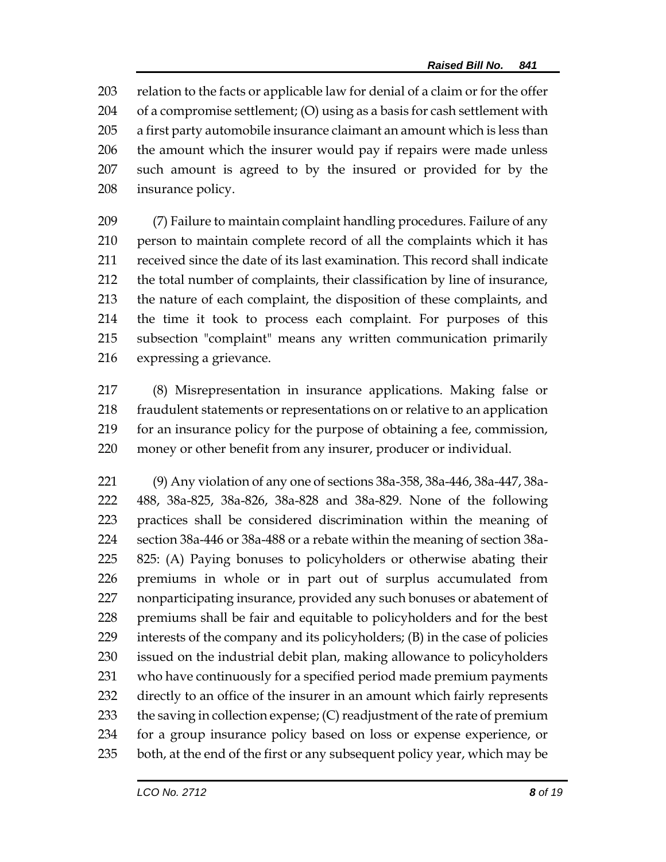relation to the facts or applicable law for denial of a claim or for the offer of a compromise settlement; (O) using as a basis for cash settlement with a first party automobile insurance claimant an amount which is less than the amount which the insurer would pay if repairs were made unless such amount is agreed to by the insured or provided for by the insurance policy.

 (7) Failure to maintain complaint handling procedures. Failure of any person to maintain complete record of all the complaints which it has received since the date of its last examination. This record shall indicate the total number of complaints, their classification by line of insurance, the nature of each complaint, the disposition of these complaints, and the time it took to process each complaint. For purposes of this subsection "complaint" means any written communication primarily expressing a grievance.

 (8) Misrepresentation in insurance applications. Making false or fraudulent statements or representations on or relative to an application for an insurance policy for the purpose of obtaining a fee, commission, money or other benefit from any insurer, producer or individual.

 (9) Any violation of any one of sections 38a-358, 38a-446, 38a-447, 38a- 488, 38a-825, 38a-826, 38a-828 and 38a-829. None of the following practices shall be considered discrimination within the meaning of section 38a-446 or 38a-488 or a rebate within the meaning of section 38a- 825: (A) Paying bonuses to policyholders or otherwise abating their premiums in whole or in part out of surplus accumulated from nonparticipating insurance, provided any such bonuses or abatement of premiums shall be fair and equitable to policyholders and for the best interests of the company and its policyholders; (B) in the case of policies issued on the industrial debit plan, making allowance to policyholders who have continuously for a specified period made premium payments directly to an office of the insurer in an amount which fairly represents 233 the saving in collection expense; (C) readjustment of the rate of premium for a group insurance policy based on loss or expense experience, or both, at the end of the first or any subsequent policy year, which may be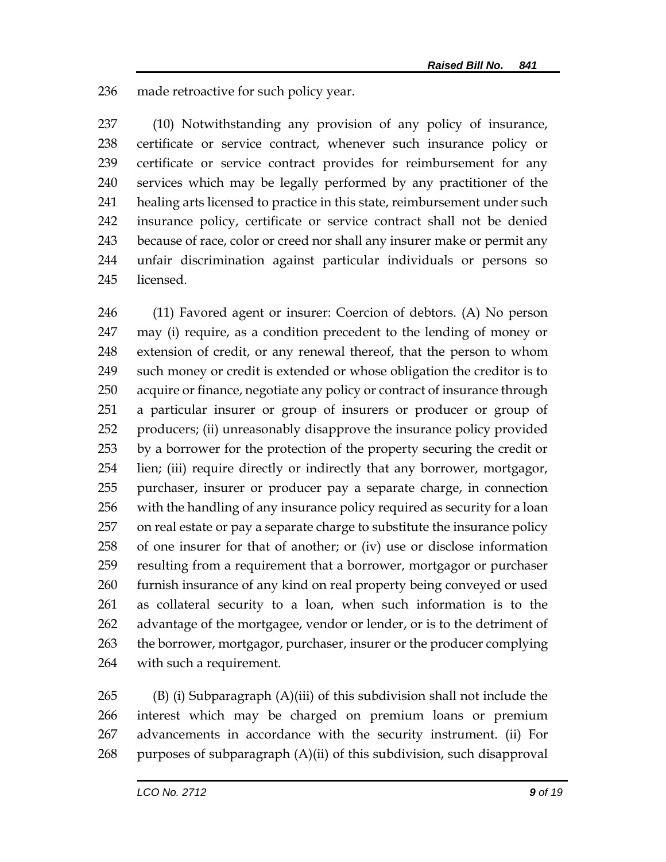made retroactive for such policy year.

 (10) Notwithstanding any provision of any policy of insurance, certificate or service contract, whenever such insurance policy or certificate or service contract provides for reimbursement for any services which may be legally performed by any practitioner of the healing arts licensed to practice in this state, reimbursement under such insurance policy, certificate or service contract shall not be denied because of race, color or creed nor shall any insurer make or permit any unfair discrimination against particular individuals or persons so licensed.

 (11) Favored agent or insurer: Coercion of debtors. (A) No person may (i) require, as a condition precedent to the lending of money or extension of credit, or any renewal thereof, that the person to whom such money or credit is extended or whose obligation the creditor is to acquire or finance, negotiate any policy or contract of insurance through a particular insurer or group of insurers or producer or group of producers; (ii) unreasonably disapprove the insurance policy provided by a borrower for the protection of the property securing the credit or lien; (iii) require directly or indirectly that any borrower, mortgagor, purchaser, insurer or producer pay a separate charge, in connection with the handling of any insurance policy required as security for a loan on real estate or pay a separate charge to substitute the insurance policy of one insurer for that of another; or (iv) use or disclose information resulting from a requirement that a borrower, mortgagor or purchaser furnish insurance of any kind on real property being conveyed or used as collateral security to a loan, when such information is to the advantage of the mortgagee, vendor or lender, or is to the detriment of the borrower, mortgagor, purchaser, insurer or the producer complying with such a requirement.

 (B) (i) Subparagraph (A)(iii) of this subdivision shall not include the interest which may be charged on premium loans or premium advancements in accordance with the security instrument. (ii) For 268 purposes of subparagraph  $(A)(ii)$  of this subdivision, such disapproval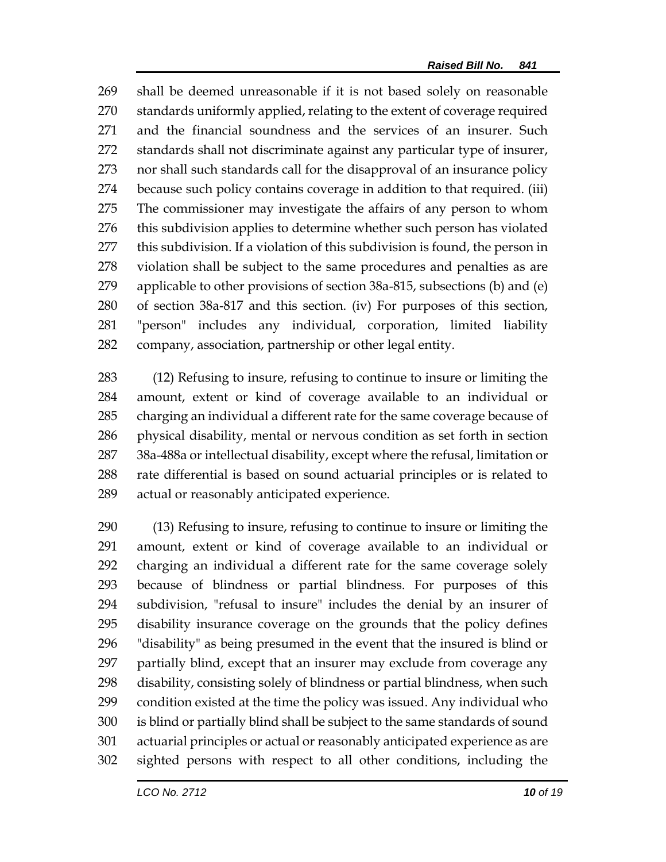shall be deemed unreasonable if it is not based solely on reasonable standards uniformly applied, relating to the extent of coverage required and the financial soundness and the services of an insurer. Such standards shall not discriminate against any particular type of insurer, nor shall such standards call for the disapproval of an insurance policy because such policy contains coverage in addition to that required. (iii) The commissioner may investigate the affairs of any person to whom 276 this subdivision applies to determine whether such person has violated this subdivision. If a violation of this subdivision is found, the person in violation shall be subject to the same procedures and penalties as are applicable to other provisions of section 38a-815, subsections (b) and (e) of section 38a-817 and this section. (iv) For purposes of this section, "person" includes any individual, corporation, limited liability company, association, partnership or other legal entity.

 (12) Refusing to insure, refusing to continue to insure or limiting the amount, extent or kind of coverage available to an individual or charging an individual a different rate for the same coverage because of physical disability, mental or nervous condition as set forth in section 38a-488a or intellectual disability, except where the refusal, limitation or rate differential is based on sound actuarial principles or is related to actual or reasonably anticipated experience.

 (13) Refusing to insure, refusing to continue to insure or limiting the amount, extent or kind of coverage available to an individual or charging an individual a different rate for the same coverage solely because of blindness or partial blindness. For purposes of this subdivision, "refusal to insure" includes the denial by an insurer of disability insurance coverage on the grounds that the policy defines "disability" as being presumed in the event that the insured is blind or partially blind, except that an insurer may exclude from coverage any disability, consisting solely of blindness or partial blindness, when such condition existed at the time the policy was issued. Any individual who is blind or partially blind shall be subject to the same standards of sound actuarial principles or actual or reasonably anticipated experience as are sighted persons with respect to all other conditions, including the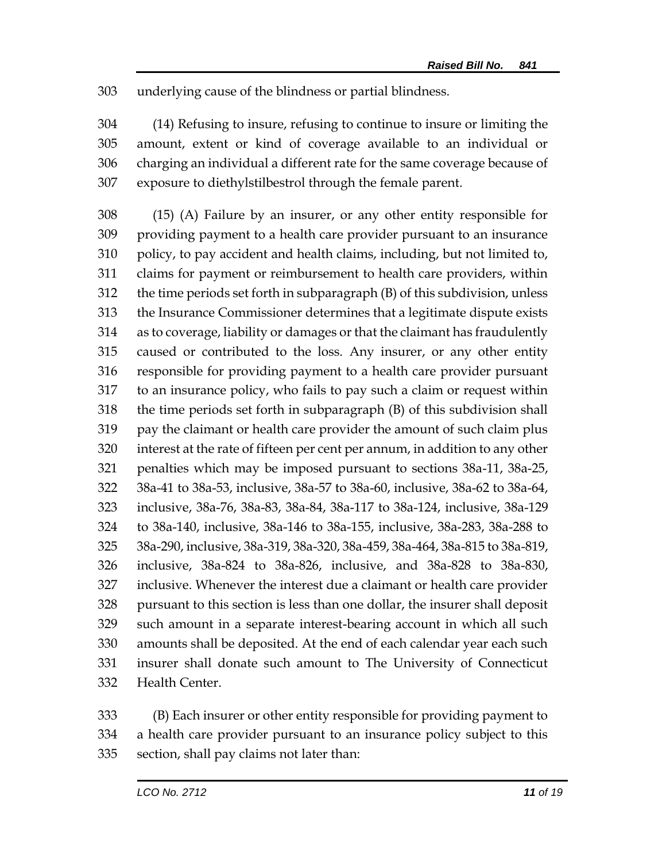underlying cause of the blindness or partial blindness.

 (14) Refusing to insure, refusing to continue to insure or limiting the amount, extent or kind of coverage available to an individual or charging an individual a different rate for the same coverage because of exposure to diethylstilbestrol through the female parent.

 (15) (A) Failure by an insurer, or any other entity responsible for providing payment to a health care provider pursuant to an insurance policy, to pay accident and health claims, including, but not limited to, claims for payment or reimbursement to health care providers, within the time periods set forth in subparagraph (B) of this subdivision, unless the Insurance Commissioner determines that a legitimate dispute exists as to coverage, liability or damages or that the claimant has fraudulently caused or contributed to the loss. Any insurer, or any other entity responsible for providing payment to a health care provider pursuant to an insurance policy, who fails to pay such a claim or request within the time periods set forth in subparagraph (B) of this subdivision shall pay the claimant or health care provider the amount of such claim plus interest at the rate of fifteen per cent per annum, in addition to any other penalties which may be imposed pursuant to sections 38a-11, 38a-25, 38a-41 to 38a-53, inclusive, 38a-57 to 38a-60, inclusive, 38a-62 to 38a-64, inclusive, 38a-76, 38a-83, 38a-84, 38a-117 to 38a-124, inclusive, 38a-129 to 38a-140, inclusive, 38a-146 to 38a-155, inclusive, 38a-283, 38a-288 to 38a-290, inclusive, 38a-319, 38a-320, 38a-459, 38a-464, 38a-815 to 38a-819, inclusive, 38a-824 to 38a-826, inclusive, and 38a-828 to 38a-830, inclusive. Whenever the interest due a claimant or health care provider pursuant to this section is less than one dollar, the insurer shall deposit such amount in a separate interest-bearing account in which all such amounts shall be deposited. At the end of each calendar year each such insurer shall donate such amount to The University of Connecticut Health Center.

 (B) Each insurer or other entity responsible for providing payment to a health care provider pursuant to an insurance policy subject to this section, shall pay claims not later than: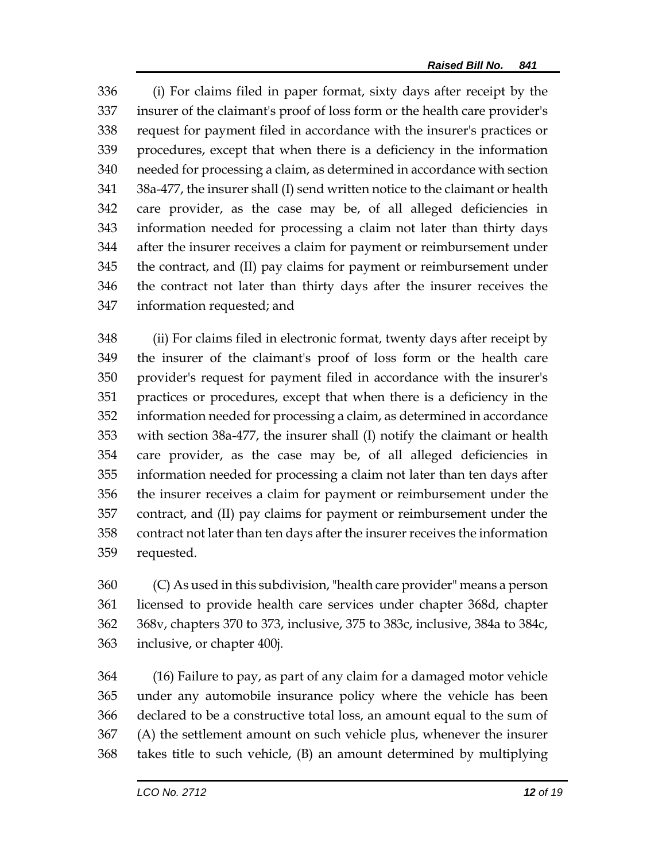(i) For claims filed in paper format, sixty days after receipt by the insurer of the claimant's proof of loss form or the health care provider's request for payment filed in accordance with the insurer's practices or procedures, except that when there is a deficiency in the information needed for processing a claim, as determined in accordance with section 38a-477, the insurer shall (I) send written notice to the claimant or health care provider, as the case may be, of all alleged deficiencies in information needed for processing a claim not later than thirty days after the insurer receives a claim for payment or reimbursement under the contract, and (II) pay claims for payment or reimbursement under the contract not later than thirty days after the insurer receives the information requested; and

 (ii) For claims filed in electronic format, twenty days after receipt by the insurer of the claimant's proof of loss form or the health care provider's request for payment filed in accordance with the insurer's practices or procedures, except that when there is a deficiency in the information needed for processing a claim, as determined in accordance with section 38a-477, the insurer shall (I) notify the claimant or health care provider, as the case may be, of all alleged deficiencies in information needed for processing a claim not later than ten days after the insurer receives a claim for payment or reimbursement under the contract, and (II) pay claims for payment or reimbursement under the contract not later than ten days after the insurer receives the information requested.

 (C) As used in this subdivision, "health care provider" means a person licensed to provide health care services under chapter 368d, chapter 368v, chapters 370 to 373, inclusive, 375 to 383c, inclusive, 384a to 384c, inclusive, or chapter 400j.

 (16) Failure to pay, as part of any claim for a damaged motor vehicle under any automobile insurance policy where the vehicle has been declared to be a constructive total loss, an amount equal to the sum of (A) the settlement amount on such vehicle plus, whenever the insurer takes title to such vehicle, (B) an amount determined by multiplying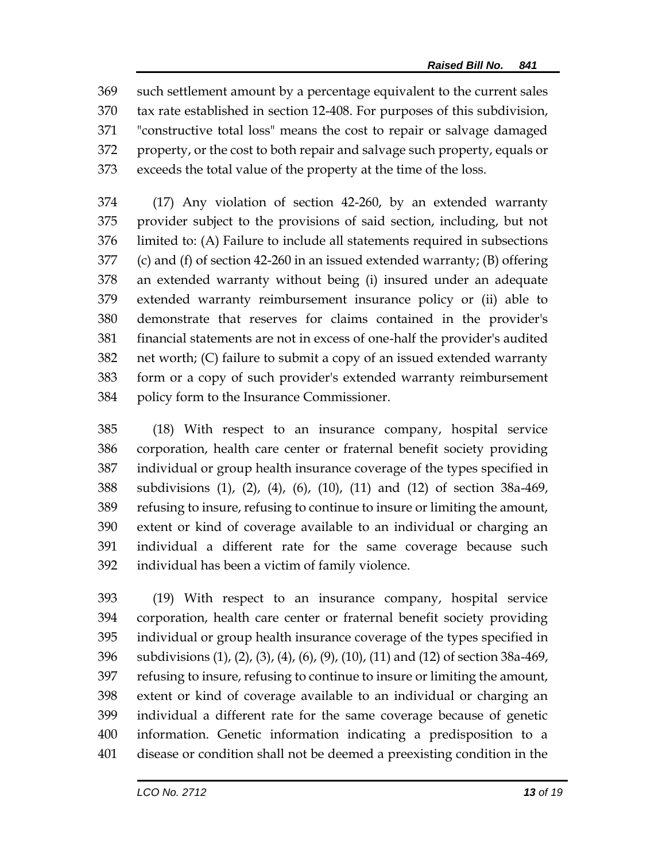such settlement amount by a percentage equivalent to the current sales tax rate established in section 12-408. For purposes of this subdivision, "constructive total loss" means the cost to repair or salvage damaged property, or the cost to both repair and salvage such property, equals or exceeds the total value of the property at the time of the loss.

 (17) Any violation of section 42-260, by an extended warranty provider subject to the provisions of said section, including, but not limited to: (A) Failure to include all statements required in subsections (c) and (f) of section 42-260 in an issued extended warranty; (B) offering an extended warranty without being (i) insured under an adequate extended warranty reimbursement insurance policy or (ii) able to demonstrate that reserves for claims contained in the provider's financial statements are not in excess of one-half the provider's audited net worth; (C) failure to submit a copy of an issued extended warranty form or a copy of such provider's extended warranty reimbursement policy form to the Insurance Commissioner.

 (18) With respect to an insurance company, hospital service corporation, health care center or fraternal benefit society providing individual or group health insurance coverage of the types specified in subdivisions (1), (2), (4), (6), (10), (11) and (12) of section 38a-469, refusing to insure, refusing to continue to insure or limiting the amount, extent or kind of coverage available to an individual or charging an individual a different rate for the same coverage because such individual has been a victim of family violence.

 (19) With respect to an insurance company, hospital service corporation, health care center or fraternal benefit society providing individual or group health insurance coverage of the types specified in subdivisions (1), (2), (3), (4), (6), (9), (10), (11) and (12) of section 38a-469, refusing to insure, refusing to continue to insure or limiting the amount, extent or kind of coverage available to an individual or charging an individual a different rate for the same coverage because of genetic information. Genetic information indicating a predisposition to a disease or condition shall not be deemed a preexisting condition in the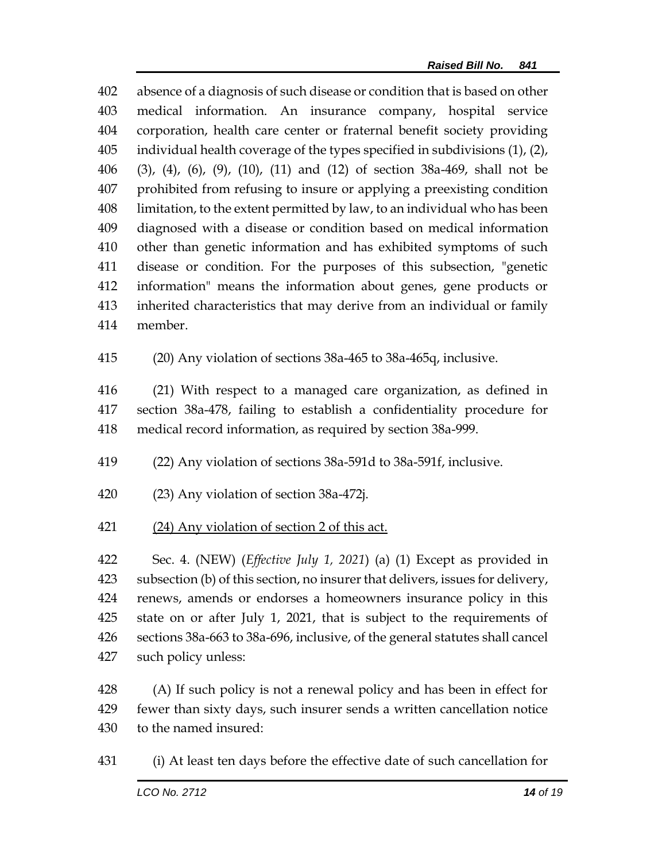absence of a diagnosis of such disease or condition that is based on other medical information. An insurance company, hospital service corporation, health care center or fraternal benefit society providing individual health coverage of the types specified in subdivisions (1), (2), (3), (4), (6), (9), (10), (11) and (12) of section 38a-469, shall not be prohibited from refusing to insure or applying a preexisting condition limitation, to the extent permitted by law, to an individual who has been diagnosed with a disease or condition based on medical information other than genetic information and has exhibited symptoms of such disease or condition. For the purposes of this subsection, "genetic information" means the information about genes, gene products or inherited characteristics that may derive from an individual or family member.

(20) Any violation of sections 38a-465 to 38a-465q, inclusive.

 (21) With respect to a managed care organization, as defined in section 38a-478, failing to establish a confidentiality procedure for medical record information, as required by section 38a-999.

- (22) Any violation of sections 38a-591d to 38a-591f, inclusive.
- (23) Any violation of section 38a-472j.
- (24) Any violation of section 2 of this act.

 Sec. 4. (NEW) (*Effective July 1, 2021*) (a) (1) Except as provided in subsection (b) of this section, no insurer that delivers, issues for delivery, renews, amends or endorses a homeowners insurance policy in this state on or after July 1, 2021, that is subject to the requirements of sections 38a-663 to 38a-696, inclusive, of the general statutes shall cancel such policy unless:

428 (A) If such policy is not a renewal policy and has been in effect for fewer than sixty days, such insurer sends a written cancellation notice to the named insured:

(i) At least ten days before the effective date of such cancellation for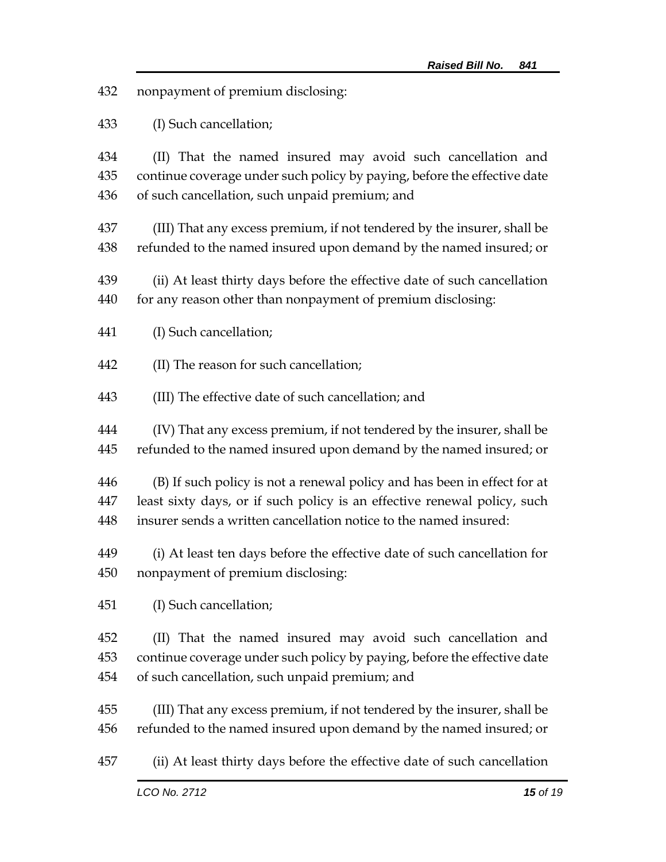- nonpayment of premium disclosing:
- (I) Such cancellation;

 (II) That the named insured may avoid such cancellation and continue coverage under such policy by paying, before the effective date of such cancellation, such unpaid premium; and

- (III) That any excess premium, if not tendered by the insurer, shall be refunded to the named insured upon demand by the named insured; or
- (ii) At least thirty days before the effective date of such cancellation for any reason other than nonpayment of premium disclosing:
- (I) Such cancellation;
- (II) The reason for such cancellation;
- (III) The effective date of such cancellation; and
- (IV) That any excess premium, if not tendered by the insurer, shall be refunded to the named insured upon demand by the named insured; or
- (B) If such policy is not a renewal policy and has been in effect for at least sixty days, or if such policy is an effective renewal policy, such insurer sends a written cancellation notice to the named insured:
- (i) At least ten days before the effective date of such cancellation for nonpayment of premium disclosing:
- (I) Such cancellation;
- (II) That the named insured may avoid such cancellation and continue coverage under such policy by paying, before the effective date of such cancellation, such unpaid premium; and
- (III) That any excess premium, if not tendered by the insurer, shall be refunded to the named insured upon demand by the named insured; or
- (ii) At least thirty days before the effective date of such cancellation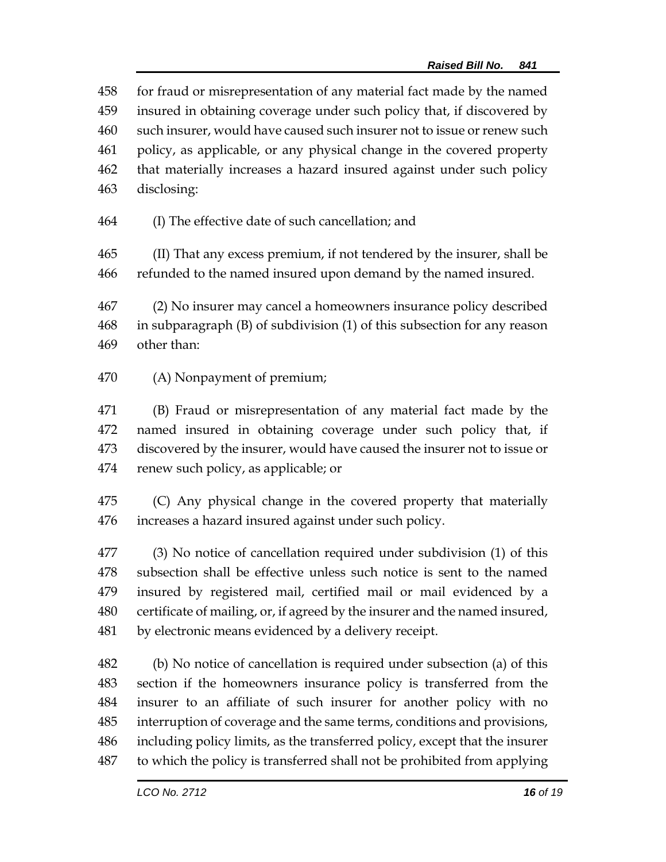for fraud or misrepresentation of any material fact made by the named insured in obtaining coverage under such policy that, if discovered by such insurer, would have caused such insurer not to issue or renew such policy, as applicable, or any physical change in the covered property that materially increases a hazard insured against under such policy disclosing:

(I) The effective date of such cancellation; and

 (II) That any excess premium, if not tendered by the insurer, shall be refunded to the named insured upon demand by the named insured.

 (2) No insurer may cancel a homeowners insurance policy described in subparagraph (B) of subdivision (1) of this subsection for any reason other than:

(A) Nonpayment of premium;

 (B) Fraud or misrepresentation of any material fact made by the named insured in obtaining coverage under such policy that, if discovered by the insurer, would have caused the insurer not to issue or renew such policy, as applicable; or

 (C) Any physical change in the covered property that materially increases a hazard insured against under such policy.

 (3) No notice of cancellation required under subdivision (1) of this subsection shall be effective unless such notice is sent to the named insured by registered mail, certified mail or mail evidenced by a certificate of mailing, or, if agreed by the insurer and the named insured, by electronic means evidenced by a delivery receipt.

 (b) No notice of cancellation is required under subsection (a) of this section if the homeowners insurance policy is transferred from the insurer to an affiliate of such insurer for another policy with no interruption of coverage and the same terms, conditions and provisions, including policy limits, as the transferred policy, except that the insurer to which the policy is transferred shall not be prohibited from applying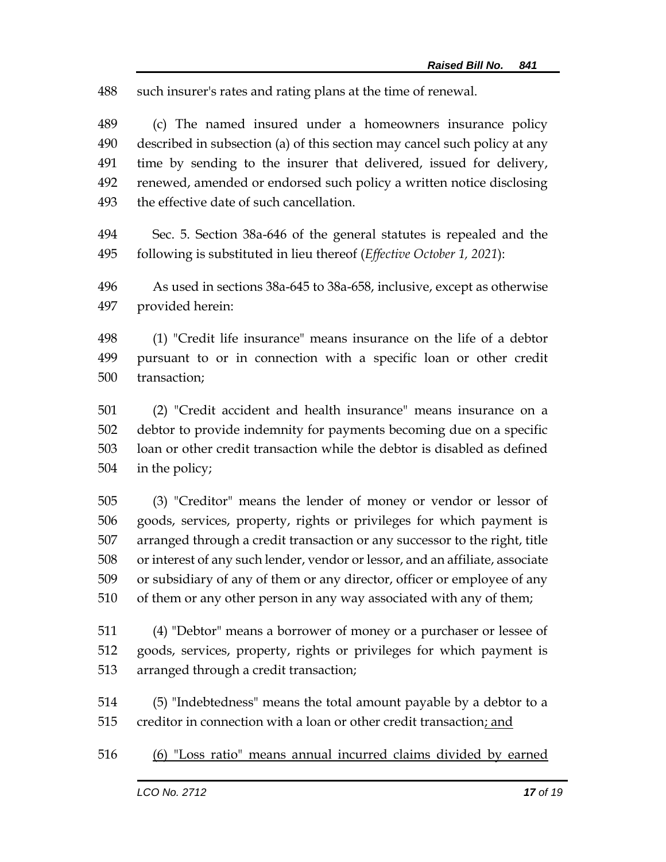such insurer's rates and rating plans at the time of renewal.

 (c) The named insured under a homeowners insurance policy described in subsection (a) of this section may cancel such policy at any time by sending to the insurer that delivered, issued for delivery, renewed, amended or endorsed such policy a written notice disclosing the effective date of such cancellation.

 Sec. 5. Section 38a-646 of the general statutes is repealed and the following is substituted in lieu thereof (*Effective October 1, 2021*):

 As used in sections 38a-645 to 38a-658, inclusive, except as otherwise provided herein:

 (1) "Credit life insurance" means insurance on the life of a debtor pursuant to or in connection with a specific loan or other credit transaction;

 (2) "Credit accident and health insurance" means insurance on a debtor to provide indemnity for payments becoming due on a specific loan or other credit transaction while the debtor is disabled as defined in the policy;

 (3) "Creditor" means the lender of money or vendor or lessor of goods, services, property, rights or privileges for which payment is arranged through a credit transaction or any successor to the right, title or interest of any such lender, vendor or lessor, and an affiliate, associate or subsidiary of any of them or any director, officer or employee of any of them or any other person in any way associated with any of them;

 (4) "Debtor" means a borrower of money or a purchaser or lessee of goods, services, property, rights or privileges for which payment is arranged through a credit transaction;

 (5) "Indebtedness" means the total amount payable by a debtor to a creditor in connection with a loan or other credit transaction; and

(6) "Loss ratio" means annual incurred claims divided by earned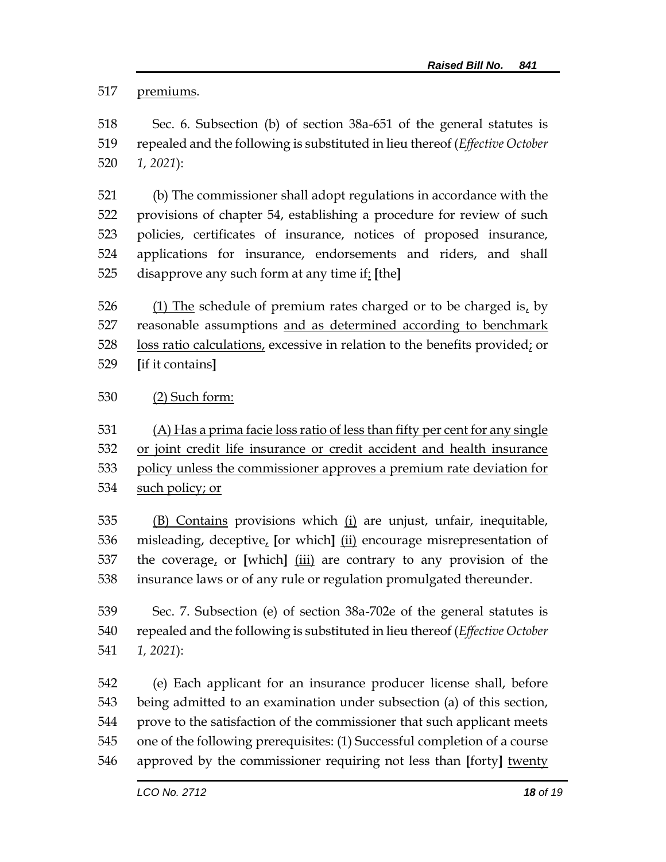premiums.

 Sec. 6. Subsection (b) of section 38a-651 of the general statutes is repealed and the following is substituted in lieu thereof (*Effective October 1, 2021*):

 (b) The commissioner shall adopt regulations in accordance with the provisions of chapter 54, establishing a procedure for review of such policies, certificates of insurance, notices of proposed insurance, applications for insurance, endorsements and riders, and shall disapprove any such form at any time if: **[**the**]**

 (1) The schedule of premium rates charged or to be charged is, by reasonable assumptions and as determined according to benchmark loss ratio calculations, excessive in relation to the benefits provided; or **[**if it contains**]**

## (2) Such form:

(A) Has a prima facie loss ratio of less than fifty per cent for any single

 or joint credit life insurance or credit accident and health insurance policy unless the commissioner approves a premium rate deviation for

such policy; or

 (B) Contains provisions which (i) are unjust, unfair, inequitable, misleading, deceptive, **[**or which**]** (ii) encourage misrepresentation of the coverage, or **[**which**]** (iii) are contrary to any provision of the insurance laws or of any rule or regulation promulgated thereunder.

 Sec. 7. Subsection (e) of section 38a-702e of the general statutes is repealed and the following is substituted in lieu thereof (*Effective October 1, 2021*):

 (e) Each applicant for an insurance producer license shall, before being admitted to an examination under subsection (a) of this section, prove to the satisfaction of the commissioner that such applicant meets one of the following prerequisites: (1) Successful completion of a course approved by the commissioner requiring not less than **[**forty**]** twenty